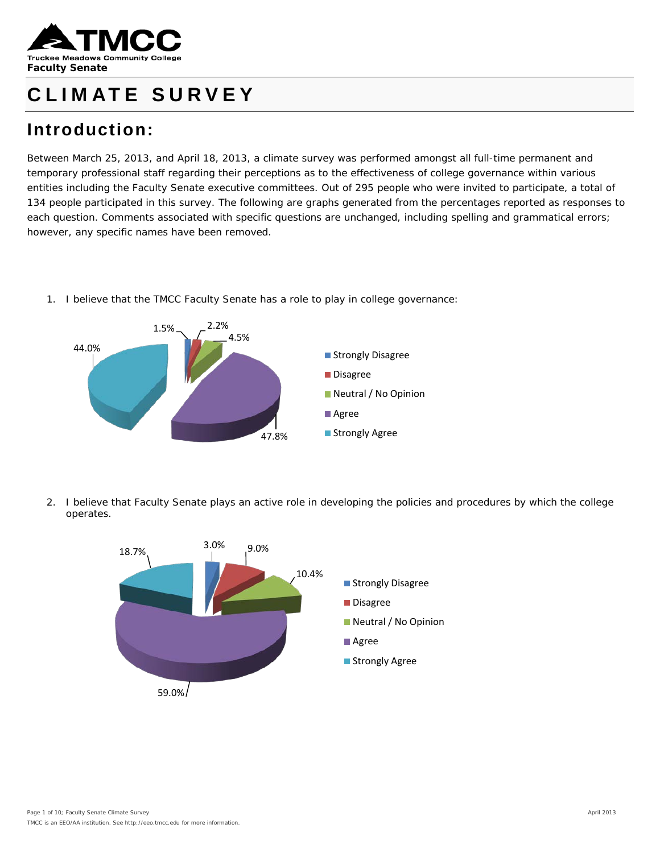

## **CLIMATE SURVEY**

## **Introduction:**

Between March 25, 2013, and April 18, 2013, a climate survey was performed amongst all full-time permanent and temporary professional staff regarding their perceptions as to the effectiveness of college governance within various entities including the Faculty Senate executive committees. Out of 295 people who were invited to participate, a total of 134 people participated in this survey. The following are graphs generated from the percentages reported as responses to each question. Comments associated with specific questions are unchanged, including spelling and grammatical errors; however, any specific names have been removed.

1. I believe that the TMCC Faculty Senate has a role to play in college governance:



2. I believe that Faculty Senate plays an active role in developing the policies and procedures by which the college operates.

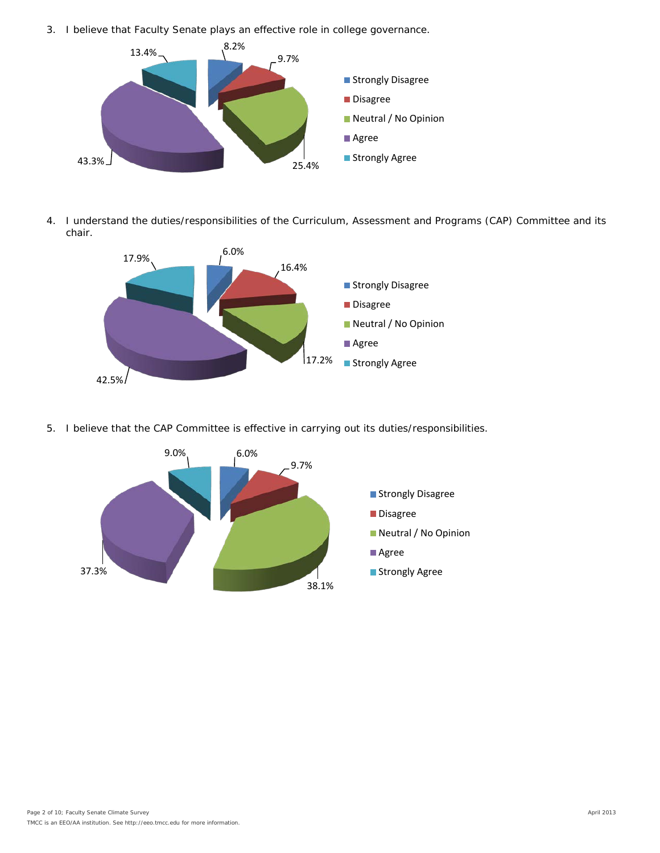3. I believe that Faculty Senate plays an effective role in college governance.



4. I understand the duties/responsibilities of the Curriculum, Assessment and Programs (CAP) Committee and its chair.



5. I believe that the CAP Committee is effective in carrying out its duties/responsibilities.

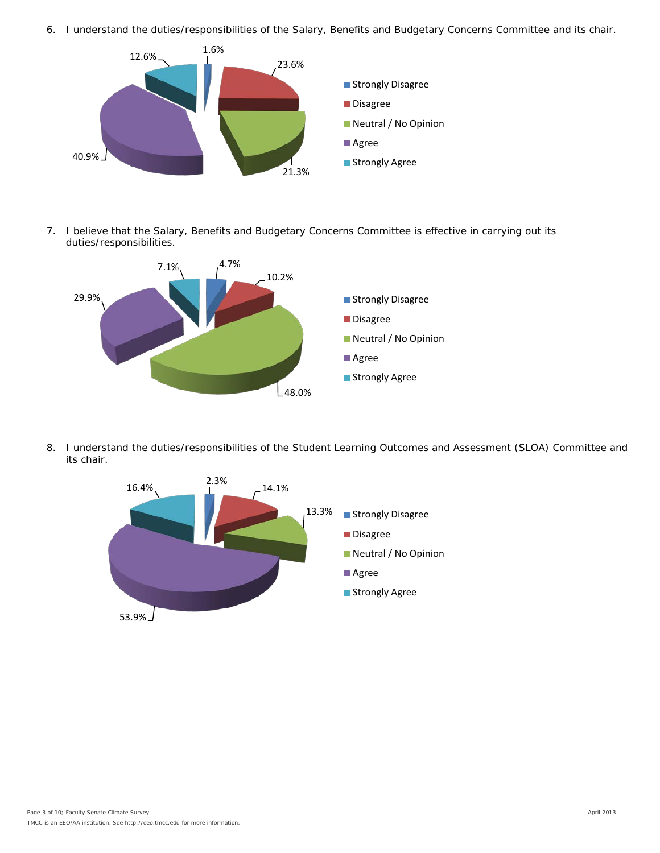6. I understand the duties/responsibilities of the Salary, Benefits and Budgetary Concerns Committee and its chair.



7. I believe that the Salary, Benefits and Budgetary Concerns Committee is effective in carrying out its duties/responsibilities.



8. I understand the duties/responsibilities of the Student Learning Outcomes and Assessment (SLOA) Committee and its chair.

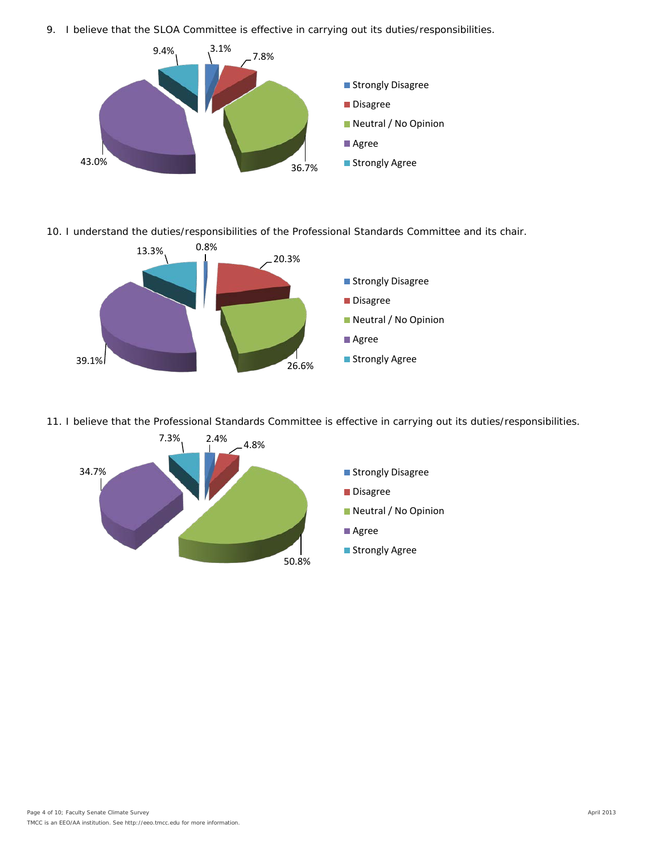9. I believe that the SLOA Committee is effective in carrying out its duties/responsibilities.



10. I understand the duties/responsibilities of the Professional Standards Committee and its chair.



11. I believe that the Professional Standards Committee is effective in carrying out its duties/responsibilities.

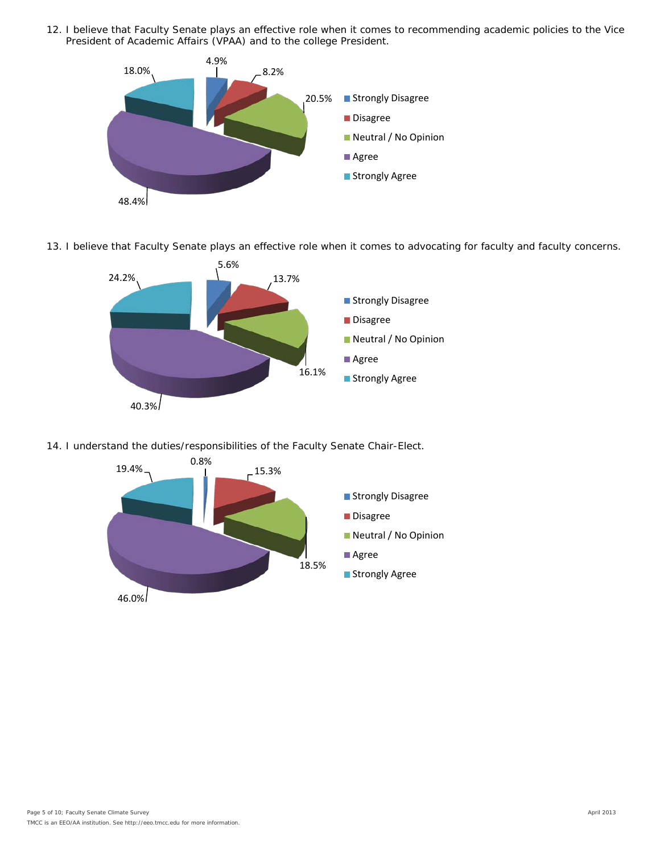12. I believe that Faculty Senate plays an effective role when it comes to recommending academic policies to the Vice President of Academic Affairs (VPAA) and to the college President.



13. I believe that Faculty Senate plays an effective role when it comes to advocating for faculty and faculty concerns.



14. I understand the duties/responsibilities of the Faculty Senate Chair-Elect.

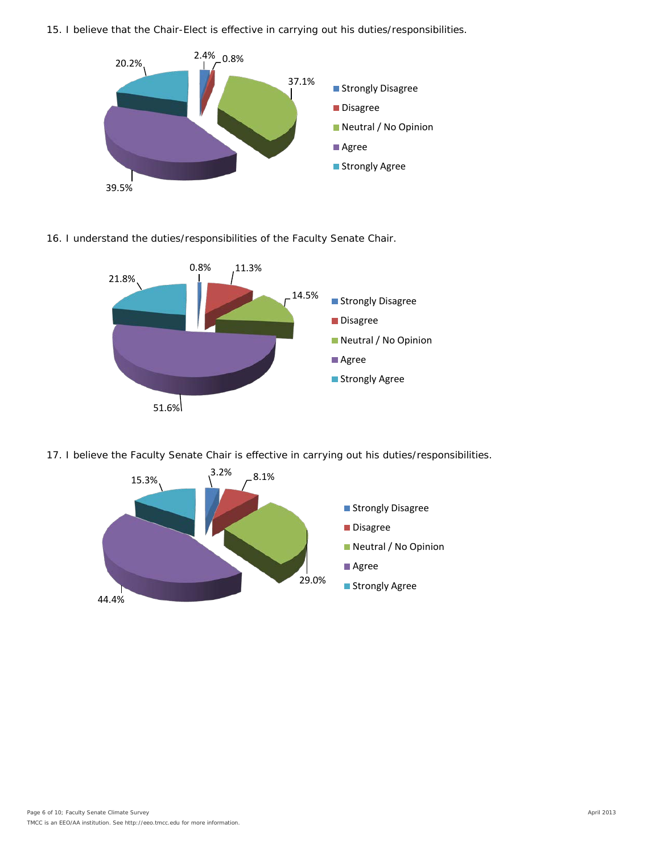15. I believe that the Chair-Elect is effective in carrying out his duties/responsibilities.



## 16. I understand the duties/responsibilities of the Faculty Senate Chair.



17. I believe the Faculty Senate Chair is effective in carrying out his duties/responsibilities.

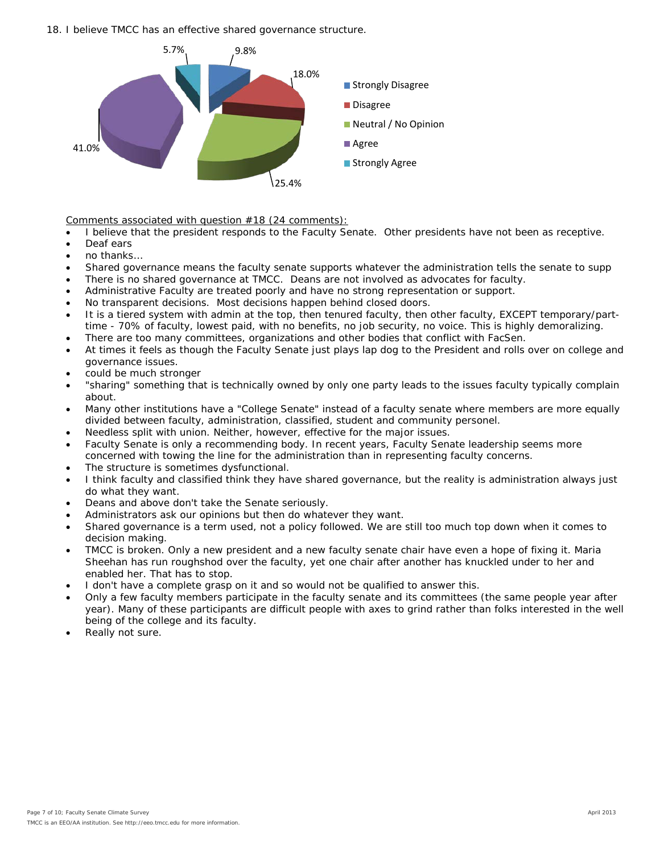18. I believe TMCC has an effective shared governance structure.



Comments associated with question #18 (24 comments):

- I believe that the president responds to the Faculty Senate. Other presidents have not been as receptive.
- Deaf ears
- no thanks…
- Shared governance means the faculty senate supports whatever the administration tells the senate to supp
- There is no shared governance at TMCC. Deans are not involved as advocates for faculty.
- Administrative Faculty are treated poorly and have no strong representation or support.
- No transparent decisions. Most decisions happen behind closed doors.
- It is a tiered system with admin at the top, then tenured faculty, then other faculty, EXCEPT temporary/parttime - 70% of faculty, lowest paid, with no benefits, no job security, no voice. This is highly demoralizing.
- There are too many committees, organizations and other bodies that conflict with FacSen.
- At times it feels as though the Faculty Senate just plays lap dog to the President and rolls over on college and governance issues.
- could be much stronger
- "sharing" something that is technically owned by only one party leads to the issues faculty typically complain about.
- Many other institutions have a "College Senate" instead of a faculty senate where members are more equally divided between faculty, administration, classified, student and community personel.
- Needless split with union. Neither, however, effective for the major issues.
- Faculty Senate is only a recommending body. In recent years, Faculty Senate leadership seems more concerned with towing the line for the administration than in representing faculty concerns.
- The structure is sometimes dysfunctional.
- I think faculty and classified think they have shared governance, but the reality is administration always just do what they want.
- Deans and above don't take the Senate seriously.
- Administrators ask our opinions but then do whatever they want.
- Shared governance is a term used, not a policy followed. We are still too much top down when it comes to decision making.
- TMCC is broken. Only a new president and a new faculty senate chair have even a hope of fixing it. Maria Sheehan has run roughshod over the faculty, yet one chair after another has knuckled under to her and enabled her. That has to stop.
- I don't have a complete grasp on it and so would not be qualified to answer this.
- Only a few faculty members participate in the faculty senate and its committees (the same people year after year). Many of these participants are difficult people with axes to grind rather than folks interested in the well being of the college and its faculty.
- Really not sure.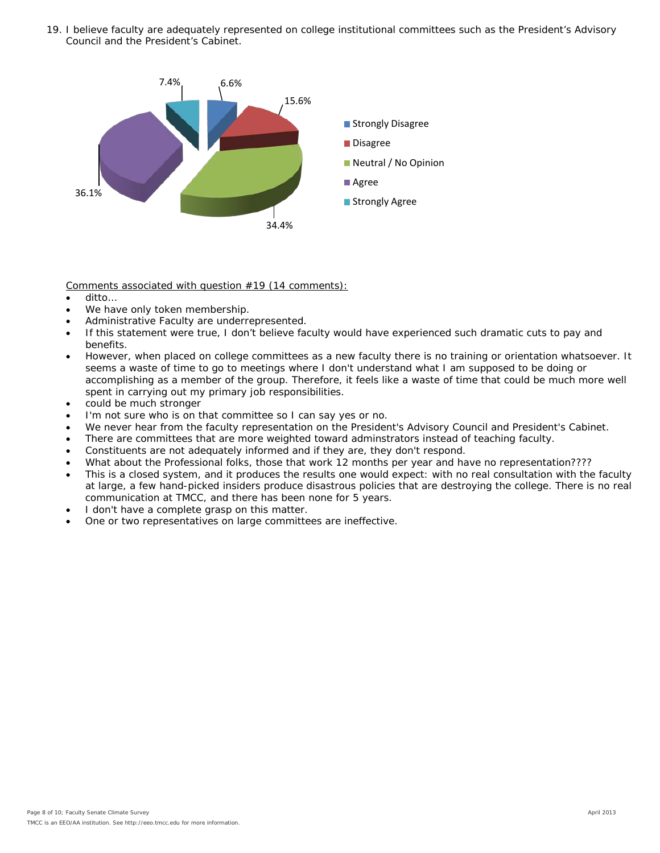19. I believe faculty are adequately represented on college institutional committees such as the President's Advisory Council and the President's Cabinet.



Comments associated with question #19 (14 comments):

- ditto…
- We have only token membership.
- Administrative Faculty are underrepresented.
- If this statement were true, I don't believe faculty would have experienced such dramatic cuts to pay and benefits.
- However, when placed on college committees as a new faculty there is no training or orientation whatsoever. It seems a waste of time to go to meetings where I don't understand what I am supposed to be doing or accomplishing as a member of the group. Therefore, it feels like a waste of time that could be much more well spent in carrying out my primary job responsibilities.
- could be much stronger
- I'm not sure who is on that committee so I can say yes or no.
- We never hear from the faculty representation on the President's Advisory Council and President's Cabinet.
- There are committees that are more weighted toward adminstrators instead of teaching faculty.
- Constituents are not adequately informed and if they are, they don't respond.
- What about the Professional folks, those that work 12 months per year and have no representation????
- This is a closed system, and it produces the results one would expect: with no real consultation with the faculty at large, a few hand-picked insiders produce disastrous policies that are destroying the college. There is no real communication at TMCC, and there has been none for 5 years.
- I don't have a complete grasp on this matter.
- One or two representatives on large committees are ineffective.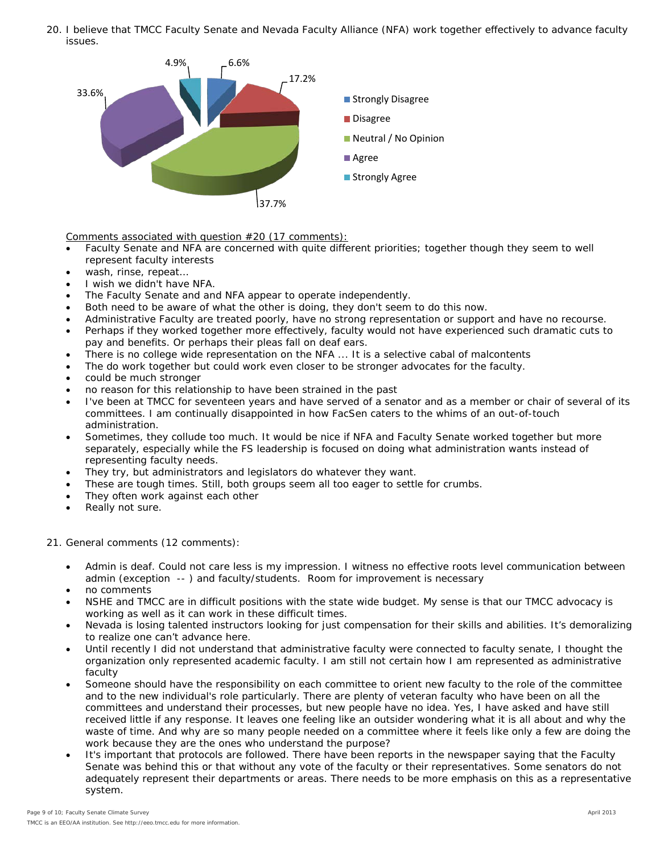20. I believe that TMCC Faculty Senate and Nevada Faculty Alliance (NFA) work together effectively to advance faculty issues.



Comments associated with question #20 (17 comments):

- Faculty Senate and NFA are concerned with quite different priorities; together though they seem to well represent faculty interests
- wash, rinse, repeat…
- I wish we didn't have NFA.
- The Faculty Senate and and NFA appear to operate independently.
- Both need to be aware of what the other is doing, they don't seem to do this now.
- Administrative Faculty are treated poorly, have no strong representation or support and have no recourse.
- Perhaps if they worked together more effectively, faculty would not have experienced such dramatic cuts to pay and benefits. Or perhaps their pleas fall on deaf ears.
- There is no college wide representation on the NFA ... It is a selective cabal of malcontents
- The do work together but could work even closer to be stronger advocates for the faculty.
- could be much stronger
- no reason for this relationship to have been strained in the past
- I've been at TMCC for seventeen years and have served of a senator and as a member or chair of several of its committees. I am continually disappointed in how FacSen caters to the whims of an out-of-touch administration.
- Sometimes, they collude too much. It would be nice if NFA and Faculty Senate worked together but more separately, especially while the FS leadership is focused on doing what administration wants instead of representing faculty needs.
- They try, but administrators and legislators do whatever they want.
- These are tough times. Still, both groups seem all too eager to settle for crumbs.
- They often work against each other
- Really not sure.

21. General comments (12 comments):

- Admin is deaf. Could not care less is my impression. I witness no effective roots level communication between admin (exception -- ) and faculty/students. Room for improvement is necessary
- no comments
- NSHE and TMCC are in difficult positions with the state wide budget. My sense is that our TMCC advocacy is working as well as it can work in these difficult times.
- Nevada is losing talented instructors looking for just compensation for their skills and abilities. It's demoralizing to realize one can't advance here.
- Until recently I did not understand that administrative faculty were connected to faculty senate, I thought the organization only represented academic faculty. I am still not certain how I am represented as administrative faculty
- Someone should have the responsibility on each committee to orient new faculty to the role of the committee and to the new individual's role particularly. There are plenty of veteran faculty who have been on all the committees and understand their processes, but new people have no idea. Yes, I have asked and have still received little if any response. It leaves one feeling like an outsider wondering what it is all about and why the waste of time. And why are so many people needed on a committee where it feels like only a few are doing the work because they are the ones who understand the purpose?
- It's important that protocols are followed. There have been reports in the newspaper saying that the Faculty Senate was behind this or that without any vote of the faculty or their representatives. Some senators do not adequately represent their departments or areas. There needs to be more emphasis on this as a representative system.